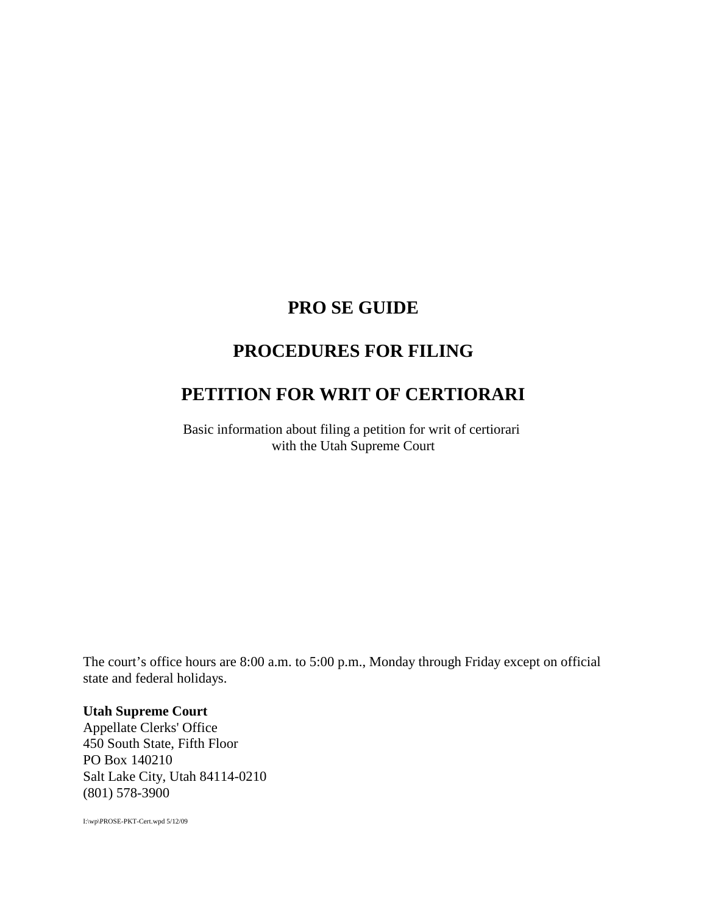# **PRO SE GUIDE**

# **PROCEDURES FOR FILING**

# **PETITION FOR WRIT OF CERTIORARI**

Basic information about filing a petition for writ of certiorari with the Utah Supreme Court

The court's office hours are 8:00 a.m. to 5:00 p.m., Monday through Friday except on official state and federal holidays.

#### **Utah Supreme Court**

Appellate Clerks' Office 450 South State, Fifth Floor PO Box 140210 Salt Lake City, Utah 84114-0210 (801) 578-3900

I:\wp\PROSE-PKT-Cert.wpd 5/12/09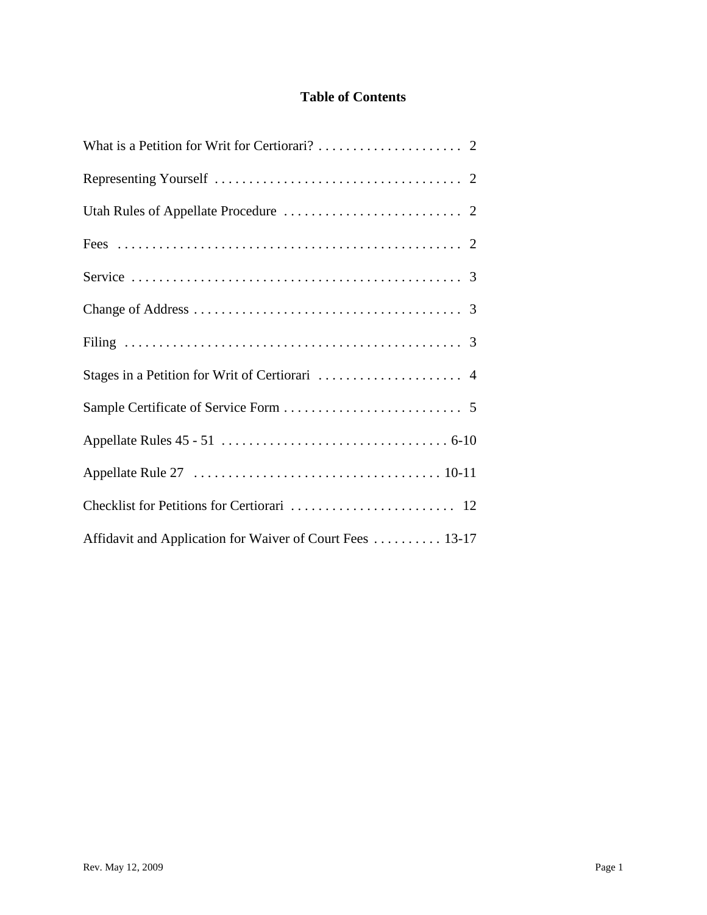# **Table of Contents**

| Affidavit and Application for Waiver of Court Fees  13-17 |
|-----------------------------------------------------------|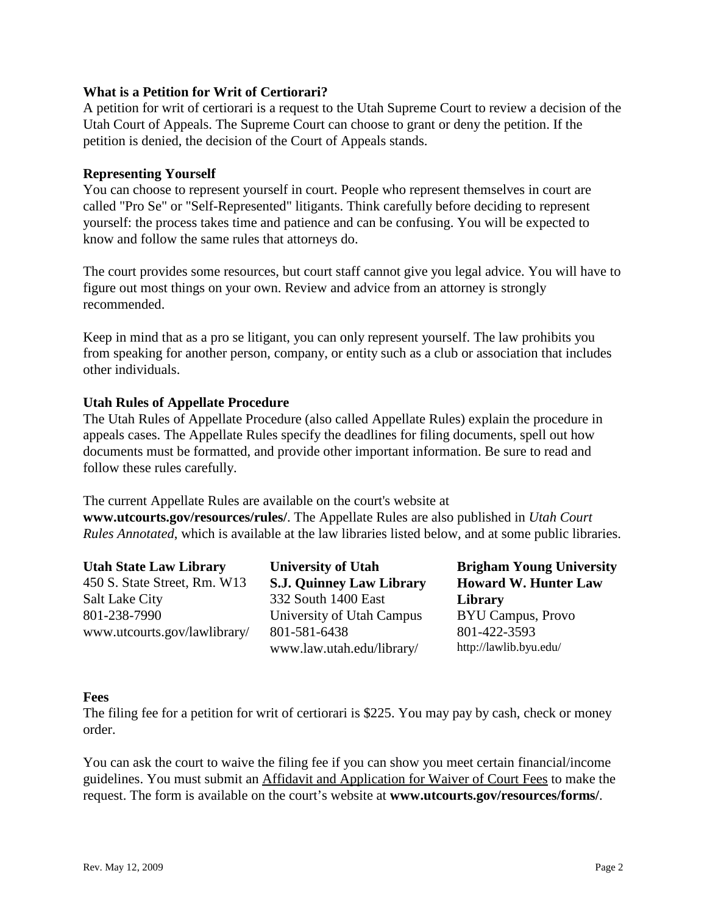#### **What is a Petition for Writ of Certiorari?**

A petition for writ of certiorari is a request to the Utah Supreme Court to review a decision of the Utah Court of Appeals. The Supreme Court can choose to grant or deny the petition. If the petition is denied, the decision of the Court of Appeals stands.

#### **Representing Yourself**

You can choose to represent yourself in court. People who represent themselves in court are called "Pro Se" or "Self-Represented" litigants. Think carefully before deciding to represent yourself: the process takes time and patience and can be confusing. You will be expected to know and follow the same rules that attorneys do.

The court provides some resources, but court staff cannot give you legal advice. You will have to figure out most things on your own. Review and advice from an attorney is strongly recommended.

Keep in mind that as a pro se litigant, you can only represent yourself. The law prohibits you from speaking for another person, company, or entity such as a club or association that includes other individuals.

#### **Utah Rules of Appellate Procedure**

The Utah Rules of Appellate Procedure (also called Appellate Rules) explain the procedure in appeals cases. The Appellate Rules specify the deadlines for filing documents, spell out how documents must be formatted, and provide other important information. Be sure to read and follow these rules carefully.

The current Appellate Rules are available on the court's website at **www.utcourts.gov/resources/rules/**. The Appellate Rules are also published in *Utah Court Rules Annotated*, which is available at the law libraries listed below, and at some public libraries.

**Utah State Law Library** 450 S. State Street, Rm. W13 Salt Lake City 801-238-7990 www.utcourts.gov/lawlibrary/

**University of Utah S.J. Quinney Law Library**  332 South 1400 East University of Utah Campus 801-581-6438 www.law.utah.edu/library/

**Brigham Young University Howard W. Hunter Law Library** BYU Campus, Provo 801-422-3593 http://lawlib.byu.edu/

#### **Fees**

The filing fee for a petition for writ of certiorari is \$225. You may pay by cash, check or money order.

You can ask the court to waive the filing fee if you can show you meet certain financial/income guidelines. You must submit an Affidavit and Application for Waiver of Court Fees to make the request. The form is available on the court's website at **www.utcourts.gov/resources/forms/**.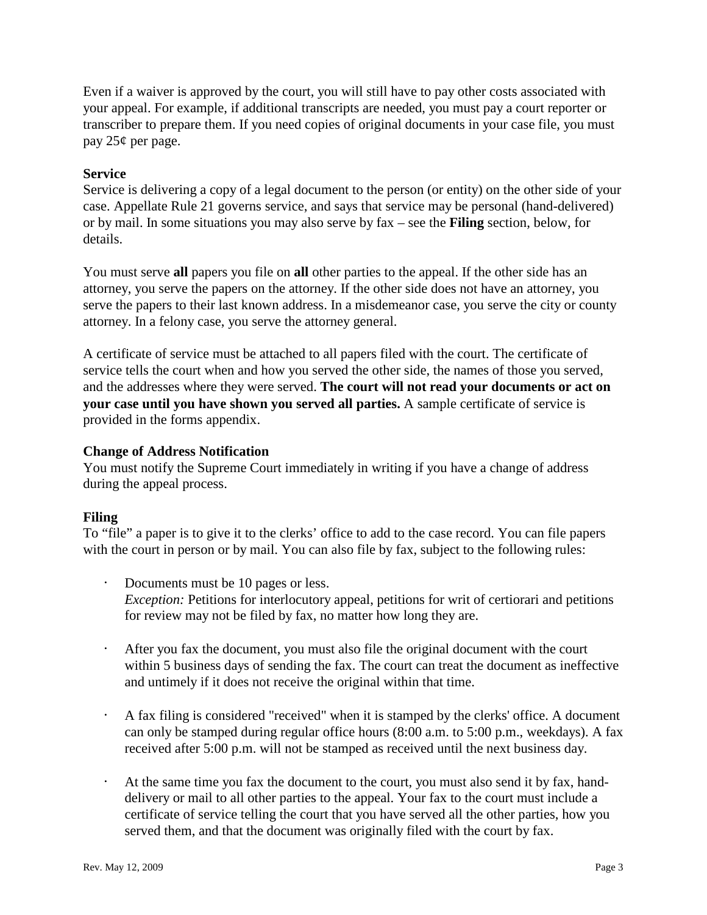Even if a waiver is approved by the court, you will still have to pay other costs associated with your appeal. For example, if additional transcripts are needed, you must pay a court reporter or transcriber to prepare them. If you need copies of original documents in your case file, you must pay 25¢ per page.

## **Service**

Service is delivering a copy of a legal document to the person (or entity) on the other side of your case. Appellate Rule 21 governs service, and says that service may be personal (hand-delivered) or by mail. In some situations you may also serve by fax – see the **Filing** section, below, for details.

You must serve **all** papers you file on **all** other parties to the appeal. If the other side has an attorney, you serve the papers on the attorney. If the other side does not have an attorney, you serve the papers to their last known address. In a misdemeanor case, you serve the city or county attorney. In a felony case, you serve the attorney general.

A certificate of service must be attached to all papers filed with the court. The certificate of service tells the court when and how you served the other side, the names of those you served, and the addresses where they were served. **The court will not read your documents or act on your case until you have shown you served all parties.** A sample certificate of service is provided in the forms appendix.

## **Change of Address Notification**

You must notify the Supreme Court immediately in writing if you have a change of address during the appeal process.

#### **Filing**

To "file" a paper is to give it to the clerks' office to add to the case record. You can file papers with the court in person or by mail. You can also file by fax, subject to the following rules:

- Documents must be 10 pages or less. *Exception:* Petitions for interlocutory appeal, petitions for writ of certiorari and petitions for review may not be filed by fax, no matter how long they are.
- $\cdot$  After you fax the document, you must also file the original document with the court within 5 business days of sending the fax. The court can treat the document as ineffective and untimely if it does not receive the original within that time.
- $\cdot$  A fax filing is considered "received" when it is stamped by the clerks' office. A document can only be stamped during regular office hours (8:00 a.m. to 5:00 p.m., weekdays). A fax received after 5:00 p.m. will not be stamped as received until the next business day.
- At the same time you fax the document to the court, you must also send it by fax, handdelivery or mail to all other parties to the appeal. Your fax to the court must include a certificate of service telling the court that you have served all the other parties, how you served them, and that the document was originally filed with the court by fax.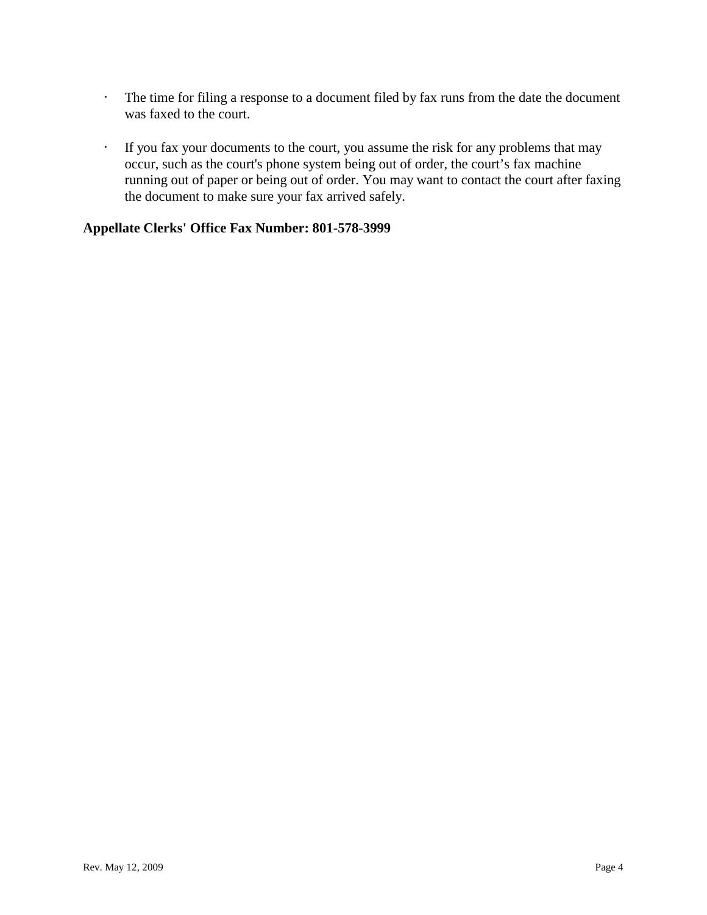- $\cdot$  The time for filing a response to a document filed by fax runs from the date the document was faxed to the court.
- <sup>t</sup> If you fax your documents to the court, you assume the risk for any problems that may occur, such as the court's phone system being out of order, the court's fax machine running out of paper or being out of order. You may want to contact the court after faxing the document to make sure your fax arrived safely.

# **Appellate Clerks' Office Fax Number: 801-578-3999**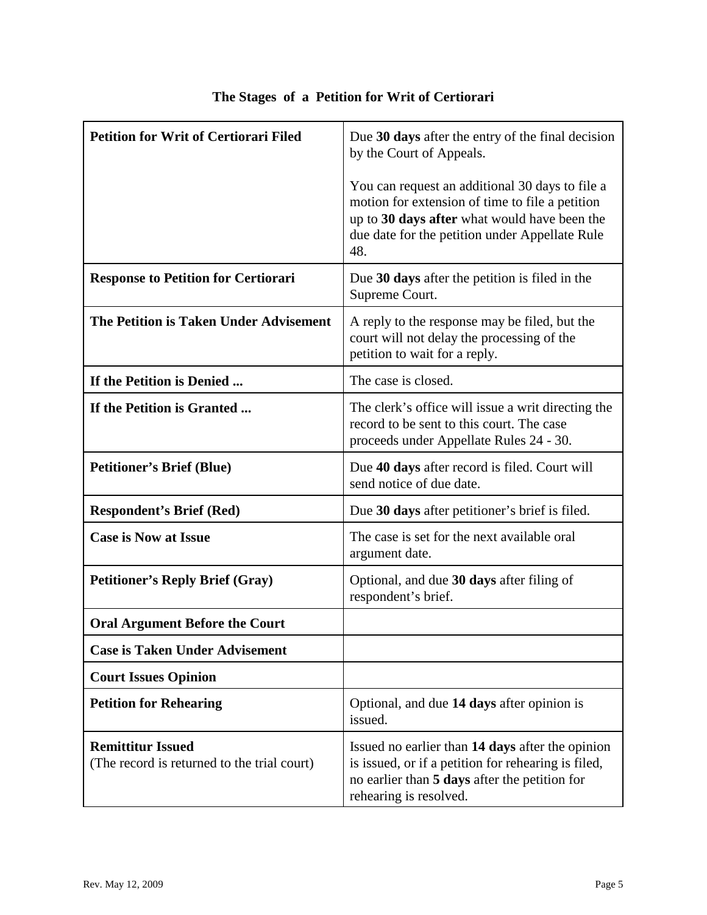| <b>Petition for Writ of Certiorari Filed</b>                            | Due 30 days after the entry of the final decision<br>by the Court of Appeals.                                                                                                                               |
|-------------------------------------------------------------------------|-------------------------------------------------------------------------------------------------------------------------------------------------------------------------------------------------------------|
|                                                                         | You can request an additional 30 days to file a<br>motion for extension of time to file a petition<br>up to 30 days after what would have been the<br>due date for the petition under Appellate Rule<br>48. |
| <b>Response to Petition for Certiorari</b>                              | Due 30 days after the petition is filed in the<br>Supreme Court.                                                                                                                                            |
| The Petition is Taken Under Advisement                                  | A reply to the response may be filed, but the<br>court will not delay the processing of the<br>petition to wait for a reply.                                                                                |
| If the Petition is Denied                                               | The case is closed.                                                                                                                                                                                         |
| If the Petition is Granted                                              | The clerk's office will issue a writ directing the<br>record to be sent to this court. The case<br>proceeds under Appellate Rules 24 - 30.                                                                  |
| <b>Petitioner's Brief (Blue)</b>                                        | Due 40 days after record is filed. Court will<br>send notice of due date.                                                                                                                                   |
| <b>Respondent's Brief (Red)</b>                                         | Due 30 days after petitioner's brief is filed.                                                                                                                                                              |
| <b>Case is Now at Issue</b>                                             | The case is set for the next available oral<br>argument date.                                                                                                                                               |
| <b>Petitioner's Reply Brief (Gray)</b>                                  | Optional, and due 30 days after filing of<br>respondent's brief.                                                                                                                                            |
| <b>Oral Argument Before the Court</b>                                   |                                                                                                                                                                                                             |
| <b>Case is Taken Under Advisement</b>                                   |                                                                                                                                                                                                             |
| <b>Court Issues Opinion</b>                                             |                                                                                                                                                                                                             |
| <b>Petition for Rehearing</b>                                           | Optional, and due 14 days after opinion is<br>issued.                                                                                                                                                       |
| <b>Remittitur Issued</b><br>(The record is returned to the trial court) | Issued no earlier than 14 days after the opinion<br>is issued, or if a petition for rehearing is filed,<br>no earlier than 5 days after the petition for<br>rehearing is resolved.                          |

# **The Stages of a Petition for Writ of Certiorari**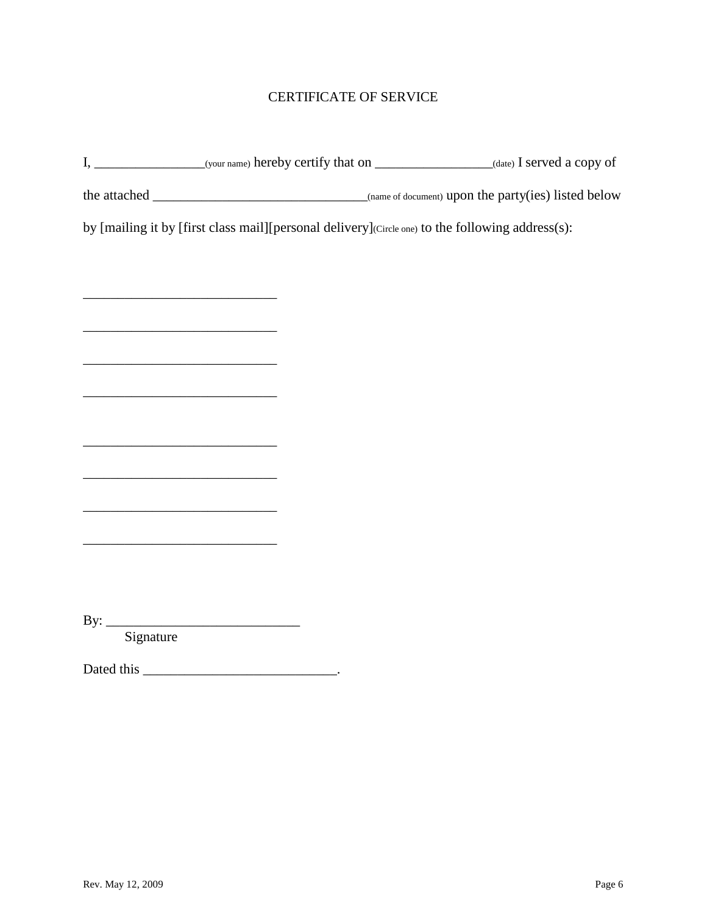# CERTIFICATE OF SERVICE

|                                                                                                                       | by [mailing it by [first class mail][personal delivery](Circle one) to the following address(s): |  |
|-----------------------------------------------------------------------------------------------------------------------|--------------------------------------------------------------------------------------------------|--|
|                                                                                                                       |                                                                                                  |  |
| <u> 1989 - Johann John Stein, mars an deutscher Stein und der Stein und der Stein und der Stein und der Stein und</u> |                                                                                                  |  |
| <u> 1989 - Johann Barn, mars eta bat erroman erroman erroman erroman erroman erroman erroman erroman erroman err</u>  |                                                                                                  |  |
| <u> 1989 - Johann Barn, mars ann an t-Amhain an t-Amhain an t-Amhain an t-Amhain an t-Amhain an t-Amhain an t-Amh</u> |                                                                                                  |  |
|                                                                                                                       |                                                                                                  |  |
|                                                                                                                       |                                                                                                  |  |
|                                                                                                                       |                                                                                                  |  |
|                                                                                                                       |                                                                                                  |  |
|                                                                                                                       |                                                                                                  |  |
| <u> 1989 - Johann John Stone, mars eta biztanleria (h. 1989).</u>                                                     |                                                                                                  |  |
|                                                                                                                       |                                                                                                  |  |
|                                                                                                                       |                                                                                                  |  |
| By: $Signature$                                                                                                       |                                                                                                  |  |
|                                                                                                                       |                                                                                                  |  |
|                                                                                                                       |                                                                                                  |  |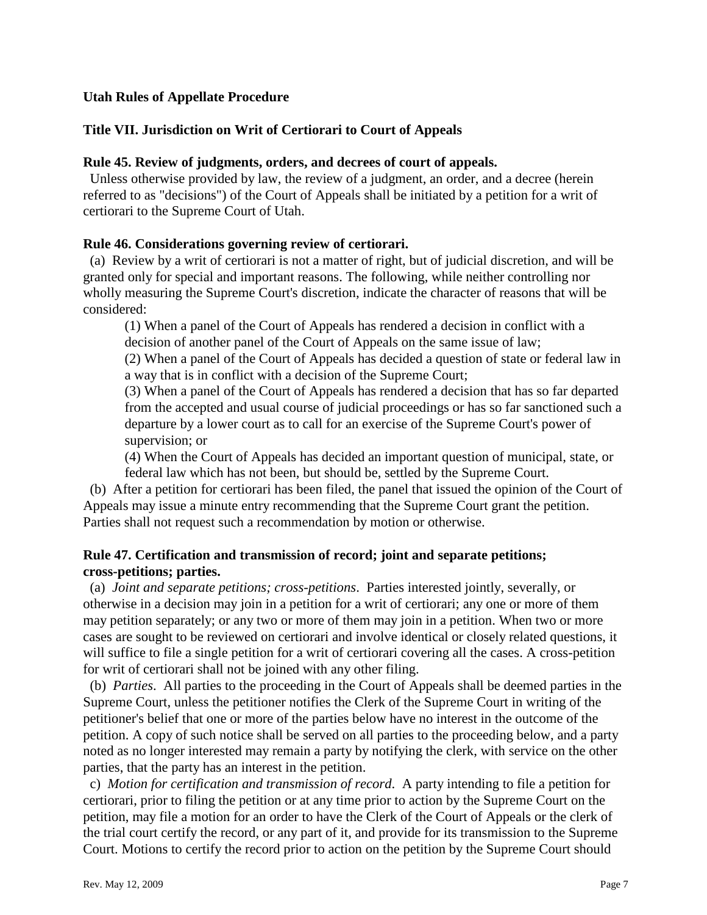## **Utah Rules of Appellate Procedure**

## **Title VII. Jurisdiction on Writ of Certiorari to Court of Appeals**

#### **Rule 45. Review of judgments, orders, and decrees of court of appeals.**

 Unless otherwise provided by law, the review of a judgment, an order, and a decree (herein referred to as "decisions") of the Court of Appeals shall be initiated by a petition for a writ of certiorari to the Supreme Court of Utah.

#### **Rule 46. Considerations governing review of certiorari.**

 (a) Review by a writ of certiorari is not a matter of right, but of judicial discretion, and will be granted only for special and important reasons. The following, while neither controlling nor wholly measuring the Supreme Court's discretion, indicate the character of reasons that will be considered:

(1) When a panel of the Court of Appeals has rendered a decision in conflict with a decision of another panel of the Court of Appeals on the same issue of law;

(2) When a panel of the Court of Appeals has decided a question of state or federal law in a way that is in conflict with a decision of the Supreme Court;

(3) When a panel of the Court of Appeals has rendered a decision that has so far departed from the accepted and usual course of judicial proceedings or has so far sanctioned such a departure by a lower court as to call for an exercise of the Supreme Court's power of supervision; or

(4) When the Court of Appeals has decided an important question of municipal, state, or federal law which has not been, but should be, settled by the Supreme Court.

 (b) After a petition for certiorari has been filed, the panel that issued the opinion of the Court of Appeals may issue a minute entry recommending that the Supreme Court grant the petition. Parties shall not request such a recommendation by motion or otherwise.

## **Rule 47. Certification and transmission of record; joint and separate petitions; cross-petitions; parties.**

 (a) *Joint and separate petitions; cross-petitions*. Parties interested jointly, severally, or otherwise in a decision may join in a petition for a writ of certiorari; any one or more of them may petition separately; or any two or more of them may join in a petition. When two or more cases are sought to be reviewed on certiorari and involve identical or closely related questions, it will suffice to file a single petition for a writ of certiorari covering all the cases. A cross-petition for writ of certiorari shall not be joined with any other filing.

 (b) *Parties*. All parties to the proceeding in the Court of Appeals shall be deemed parties in the Supreme Court, unless the petitioner notifies the Clerk of the Supreme Court in writing of the petitioner's belief that one or more of the parties below have no interest in the outcome of the petition. A copy of such notice shall be served on all parties to the proceeding below, and a party noted as no longer interested may remain a party by notifying the clerk, with service on the other parties, that the party has an interest in the petition.

 c) *Motion for certification and transmission of record*. A party intending to file a petition for certiorari, prior to filing the petition or at any time prior to action by the Supreme Court on the petition, may file a motion for an order to have the Clerk of the Court of Appeals or the clerk of the trial court certify the record, or any part of it, and provide for its transmission to the Supreme Court. Motions to certify the record prior to action on the petition by the Supreme Court should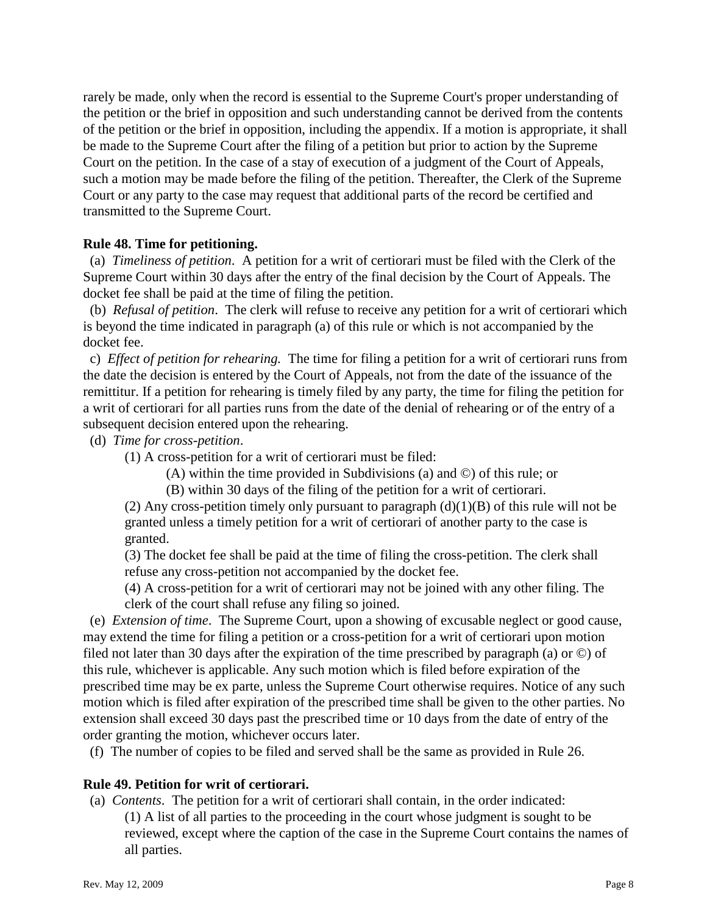rarely be made, only when the record is essential to the Supreme Court's proper understanding of the petition or the brief in opposition and such understanding cannot be derived from the contents of the petition or the brief in opposition, including the appendix. If a motion is appropriate, it shall be made to the Supreme Court after the filing of a petition but prior to action by the Supreme Court on the petition. In the case of a stay of execution of a judgment of the Court of Appeals, such a motion may be made before the filing of the petition. Thereafter, the Clerk of the Supreme Court or any party to the case may request that additional parts of the record be certified and transmitted to the Supreme Court.

#### **Rule 48. Time for petitioning.**

 (a) *Timeliness of petition*. A petition for a writ of certiorari must be filed with the Clerk of the Supreme Court within 30 days after the entry of the final decision by the Court of Appeals. The docket fee shall be paid at the time of filing the petition.

 (b) *Refusal of petition*. The clerk will refuse to receive any petition for a writ of certiorari which is beyond the time indicated in paragraph (a) of this rule or which is not accompanied by the docket fee.

 c) *Effect of petition for rehearing.* The time for filing a petition for a writ of certiorari runs from the date the decision is entered by the Court of Appeals, not from the date of the issuance of the remittitur. If a petition for rehearing is timely filed by any party, the time for filing the petition for a writ of certiorari for all parties runs from the date of the denial of rehearing or of the entry of a subsequent decision entered upon the rehearing.

(d) *Time for cross-petition*.

(1) A cross-petition for a writ of certiorari must be filed:

- (A) within the time provided in Subdivisions (a) and ©) of this rule; or
- (B) within 30 days of the filing of the petition for a writ of certiorari.

(2) Any cross-petition timely only pursuant to paragraph  $(d)(1)(B)$  of this rule will not be granted unless a timely petition for a writ of certiorari of another party to the case is granted.

(3) The docket fee shall be paid at the time of filing the cross-petition. The clerk shall refuse any cross-petition not accompanied by the docket fee.

(4) A cross-petition for a writ of certiorari may not be joined with any other filing. The clerk of the court shall refuse any filing so joined.

 (e) *Extension of time*. The Supreme Court, upon a showing of excusable neglect or good cause, may extend the time for filing a petition or a cross-petition for a writ of certiorari upon motion filed not later than 30 days after the expiration of the time prescribed by paragraph (a) or ©) of this rule, whichever is applicable. Any such motion which is filed before expiration of the prescribed time may be ex parte, unless the Supreme Court otherwise requires. Notice of any such motion which is filed after expiration of the prescribed time shall be given to the other parties. No extension shall exceed 30 days past the prescribed time or 10 days from the date of entry of the order granting the motion, whichever occurs later.

(f) The number of copies to be filed and served shall be the same as provided in Rule 26.

## **Rule 49. Petition for writ of certiorari.**

(a) *Contents*. The petition for a writ of certiorari shall contain, in the order indicated:

(1) A list of all parties to the proceeding in the court whose judgment is sought to be reviewed, except where the caption of the case in the Supreme Court contains the names of all parties.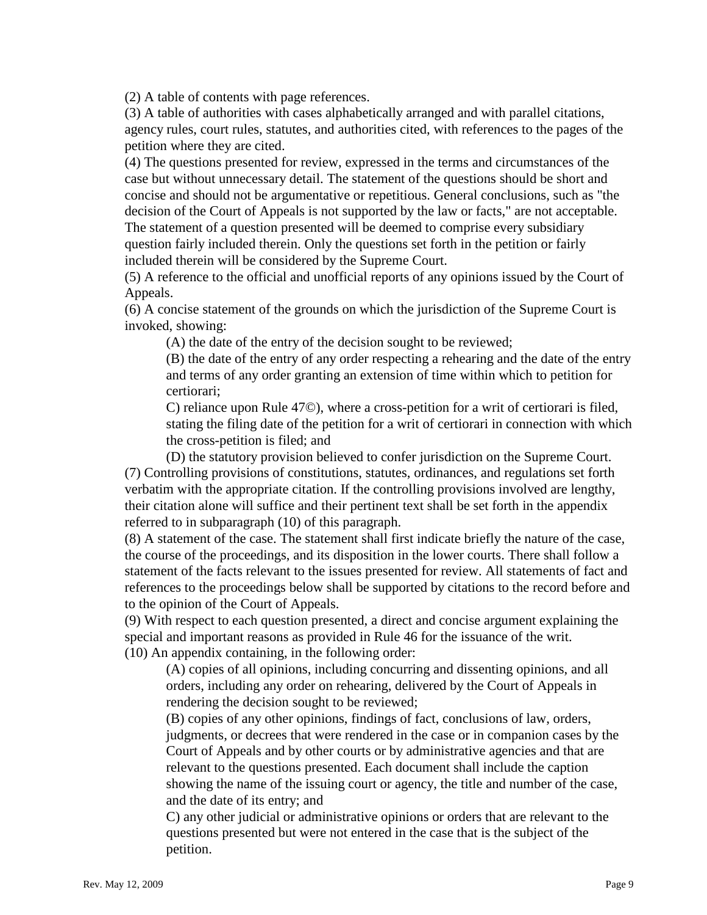(2) A table of contents with page references.

(3) A table of authorities with cases alphabetically arranged and with parallel citations, agency rules, court rules, statutes, and authorities cited, with references to the pages of the petition where they are cited.

(4) The questions presented for review, expressed in the terms and circumstances of the case but without unnecessary detail. The statement of the questions should be short and concise and should not be argumentative or repetitious. General conclusions, such as "the decision of the Court of Appeals is not supported by the law or facts," are not acceptable. The statement of a question presented will be deemed to comprise every subsidiary question fairly included therein. Only the questions set forth in the petition or fairly included therein will be considered by the Supreme Court.

(5) A reference to the official and unofficial reports of any opinions issued by the Court of Appeals.

(6) A concise statement of the grounds on which the jurisdiction of the Supreme Court is invoked, showing:

(A) the date of the entry of the decision sought to be reviewed;

(B) the date of the entry of any order respecting a rehearing and the date of the entry and terms of any order granting an extension of time within which to petition for certiorari;

C) reliance upon Rule 47©), where a cross-petition for a writ of certiorari is filed, stating the filing date of the petition for a writ of certiorari in connection with which the cross-petition is filed; and

(D) the statutory provision believed to confer jurisdiction on the Supreme Court. (7) Controlling provisions of constitutions, statutes, ordinances, and regulations set forth verbatim with the appropriate citation. If the controlling provisions involved are lengthy, their citation alone will suffice and their pertinent text shall be set forth in the appendix referred to in subparagraph (10) of this paragraph.

(8) A statement of the case. The statement shall first indicate briefly the nature of the case, the course of the proceedings, and its disposition in the lower courts. There shall follow a statement of the facts relevant to the issues presented for review. All statements of fact and references to the proceedings below shall be supported by citations to the record before and to the opinion of the Court of Appeals.

(9) With respect to each question presented, a direct and concise argument explaining the special and important reasons as provided in Rule 46 for the issuance of the writ. (10) An appendix containing, in the following order:

(A) copies of all opinions, including concurring and dissenting opinions, and all orders, including any order on rehearing, delivered by the Court of Appeals in rendering the decision sought to be reviewed;

(B) copies of any other opinions, findings of fact, conclusions of law, orders, judgments, or decrees that were rendered in the case or in companion cases by the Court of Appeals and by other courts or by administrative agencies and that are relevant to the questions presented. Each document shall include the caption showing the name of the issuing court or agency, the title and number of the case, and the date of its entry; and

C) any other judicial or administrative opinions or orders that are relevant to the questions presented but were not entered in the case that is the subject of the petition.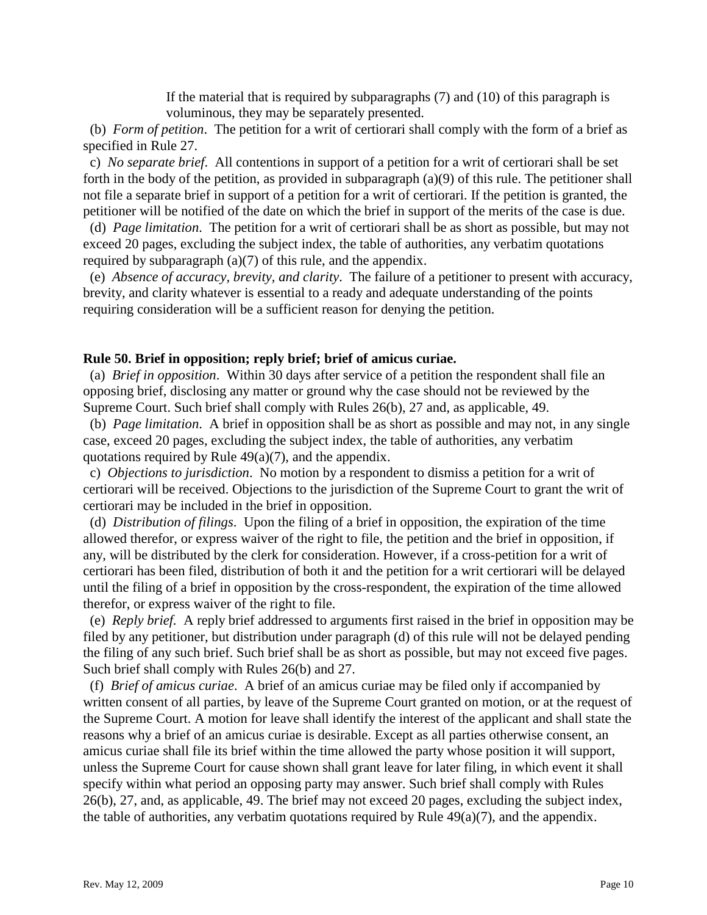If the material that is required by subparagraphs (7) and (10) of this paragraph is voluminous, they may be separately presented.

 (b) *Form of petition*. The petition for a writ of certiorari shall comply with the form of a brief as specified in Rule 27.

 c) *No separate brief*. All contentions in support of a petition for a writ of certiorari shall be set forth in the body of the petition, as provided in subparagraph (a)(9) of this rule. The petitioner shall not file a separate brief in support of a petition for a writ of certiorari. If the petition is granted, the petitioner will be notified of the date on which the brief in support of the merits of the case is due.

 (d) *Page limitation*. The petition for a writ of certiorari shall be as short as possible, but may not exceed 20 pages, excluding the subject index, the table of authorities, any verbatim quotations required by subparagraph (a)(7) of this rule, and the appendix.

 (e) *Absence of accuracy, brevity, and clarity*. The failure of a petitioner to present with accuracy, brevity, and clarity whatever is essential to a ready and adequate understanding of the points requiring consideration will be a sufficient reason for denying the petition.

#### **Rule 50. Brief in opposition; reply brief; brief of amicus curiae.**

 (a) *Brief in opposition*. Within 30 days after service of a petition the respondent shall file an opposing brief, disclosing any matter or ground why the case should not be reviewed by the Supreme Court. Such brief shall comply with Rules 26(b), 27 and, as applicable, 49.

 (b) *Page limitation*. A brief in opposition shall be as short as possible and may not, in any single case, exceed 20 pages, excluding the subject index, the table of authorities, any verbatim quotations required by Rule  $49(a)(7)$ , and the appendix.

 c) *Objections to jurisdiction*. No motion by a respondent to dismiss a petition for a writ of certiorari will be received. Objections to the jurisdiction of the Supreme Court to grant the writ of certiorari may be included in the brief in opposition.

 (d) *Distribution of filings*. Upon the filing of a brief in opposition, the expiration of the time allowed therefor, or express waiver of the right to file, the petition and the brief in opposition, if any, will be distributed by the clerk for consideration. However, if a cross-petition for a writ of certiorari has been filed, distribution of both it and the petition for a writ certiorari will be delayed until the filing of a brief in opposition by the cross-respondent, the expiration of the time allowed therefor, or express waiver of the right to file.

 (e) *Reply brief.* A reply brief addressed to arguments first raised in the brief in opposition may be filed by any petitioner, but distribution under paragraph (d) of this rule will not be delayed pending the filing of any such brief. Such brief shall be as short as possible, but may not exceed five pages. Such brief shall comply with Rules 26(b) and 27.

 (f) *Brief of amicus curiae*. A brief of an amicus curiae may be filed only if accompanied by written consent of all parties, by leave of the Supreme Court granted on motion, or at the request of the Supreme Court. A motion for leave shall identify the interest of the applicant and shall state the reasons why a brief of an amicus curiae is desirable. Except as all parties otherwise consent, an amicus curiae shall file its brief within the time allowed the party whose position it will support, unless the Supreme Court for cause shown shall grant leave for later filing, in which event it shall specify within what period an opposing party may answer. Such brief shall comply with Rules 26(b), 27, and, as applicable, 49. The brief may not exceed 20 pages, excluding the subject index, the table of authorities, any verbatim quotations required by Rule  $49(a)(7)$ , and the appendix.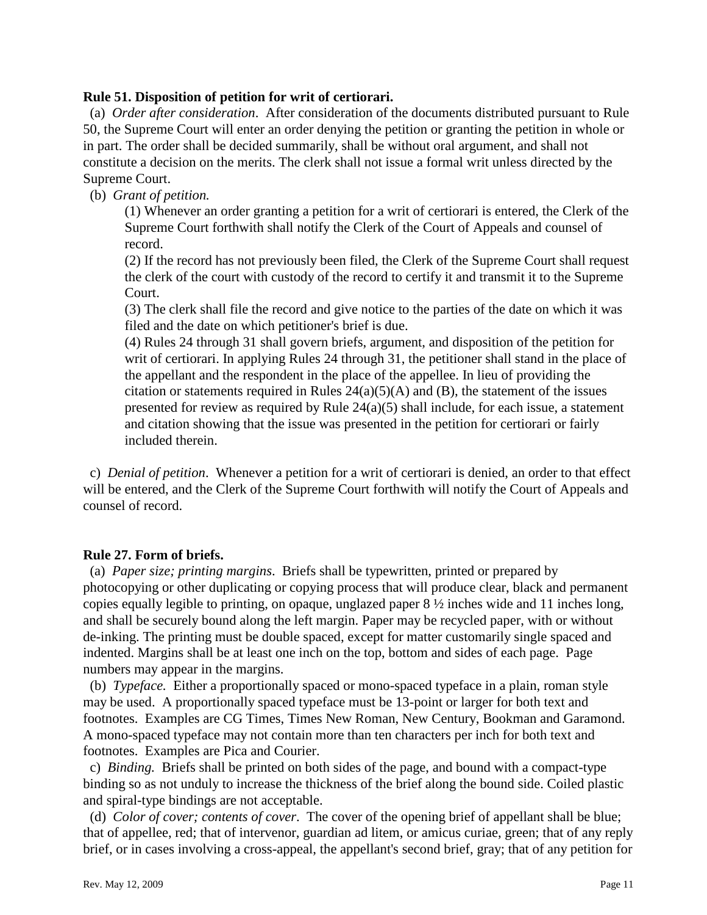#### **Rule 51. Disposition of petition for writ of certiorari.**

 (a) *Order after consideration*. After consideration of the documents distributed pursuant to Rule 50, the Supreme Court will enter an order denying the petition or granting the petition in whole or in part. The order shall be decided summarily, shall be without oral argument, and shall not constitute a decision on the merits. The clerk shall not issue a formal writ unless directed by the Supreme Court.

(b) *Grant of petition.* 

(1) Whenever an order granting a petition for a writ of certiorari is entered, the Clerk of the Supreme Court forthwith shall notify the Clerk of the Court of Appeals and counsel of record.

(2) If the record has not previously been filed, the Clerk of the Supreme Court shall request the clerk of the court with custody of the record to certify it and transmit it to the Supreme Court.

(3) The clerk shall file the record and give notice to the parties of the date on which it was filed and the date on which petitioner's brief is due.

(4) Rules 24 through 31 shall govern briefs, argument, and disposition of the petition for writ of certiorari. In applying Rules 24 through 31, the petitioner shall stand in the place of the appellant and the respondent in the place of the appellee. In lieu of providing the citation or statements required in Rules  $24(a)(5)(A)$  and (B), the statement of the issues presented for review as required by Rule 24(a)(5) shall include, for each issue, a statement and citation showing that the issue was presented in the petition for certiorari or fairly included therein.

 c) *Denial of petition*. Whenever a petition for a writ of certiorari is denied, an order to that effect will be entered, and the Clerk of the Supreme Court forthwith will notify the Court of Appeals and counsel of record.

#### **Rule 27. Form of briefs.**

 (a) *Paper size; printing margins*. Briefs shall be typewritten, printed or prepared by photocopying or other duplicating or copying process that will produce clear, black and permanent copies equally legible to printing, on opaque, unglazed paper 8 ½ inches wide and 11 inches long, and shall be securely bound along the left margin. Paper may be recycled paper, with or without de-inking. The printing must be double spaced, except for matter customarily single spaced and indented. Margins shall be at least one inch on the top, bottom and sides of each page. Page numbers may appear in the margins.

 (b) *Typeface.* Either a proportionally spaced or mono-spaced typeface in a plain, roman style may be used. A proportionally spaced typeface must be 13-point or larger for both text and footnotes. Examples are CG Times, Times New Roman, New Century, Bookman and Garamond. A mono-spaced typeface may not contain more than ten characters per inch for both text and footnotes. Examples are Pica and Courier.

 c) *Binding.* Briefs shall be printed on both sides of the page, and bound with a compact-type binding so as not unduly to increase the thickness of the brief along the bound side. Coiled plastic and spiral-type bindings are not acceptable.

 (d) *Color of cover; contents of cover*. The cover of the opening brief of appellant shall be blue; that of appellee, red; that of intervenor, guardian ad litem, or amicus curiae, green; that of any reply brief, or in cases involving a cross-appeal, the appellant's second brief, gray; that of any petition for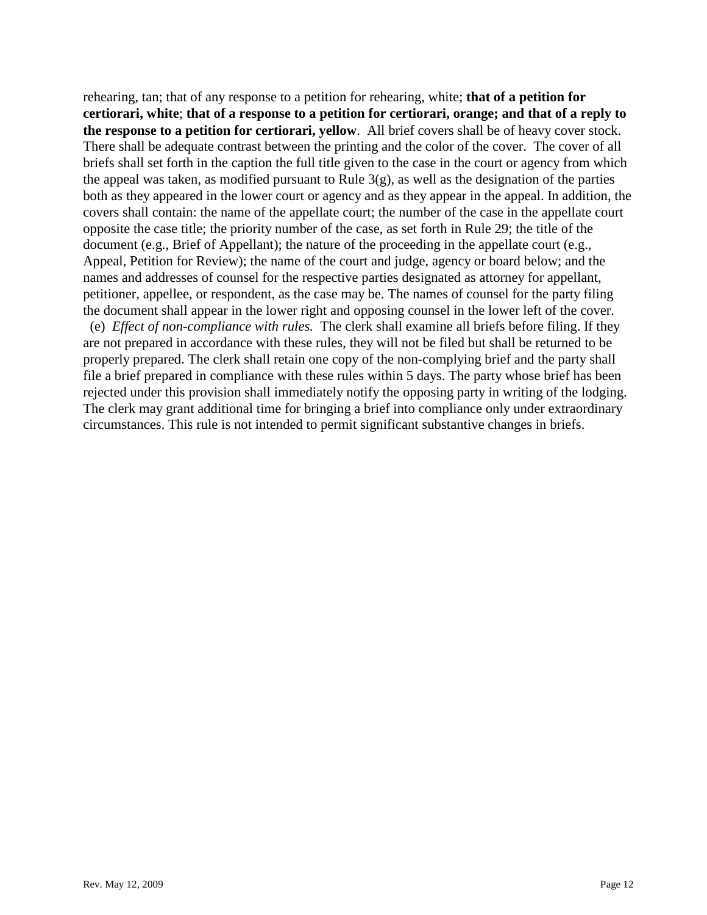rehearing, tan; that of any response to a petition for rehearing, white; **that of a petition for certiorari, white**; **that of a response to a petition for certiorari, orange; and that of a reply to the response to a petition for certiorari, yellow**. All brief covers shall be of heavy cover stock. There shall be adequate contrast between the printing and the color of the cover. The cover of all briefs shall set forth in the caption the full title given to the case in the court or agency from which the appeal was taken, as modified pursuant to Rule  $3(g)$ , as well as the designation of the parties both as they appeared in the lower court or agency and as they appear in the appeal. In addition, the covers shall contain: the name of the appellate court; the number of the case in the appellate court opposite the case title; the priority number of the case, as set forth in Rule 29; the title of the document (e.g., Brief of Appellant); the nature of the proceeding in the appellate court (e.g., Appeal, Petition for Review); the name of the court and judge, agency or board below; and the names and addresses of counsel for the respective parties designated as attorney for appellant, petitioner, appellee, or respondent, as the case may be. The names of counsel for the party filing the document shall appear in the lower right and opposing counsel in the lower left of the cover.

 (e) *Effect of non-compliance with rules.* The clerk shall examine all briefs before filing. If they are not prepared in accordance with these rules, they will not be filed but shall be returned to be properly prepared. The clerk shall retain one copy of the non-complying brief and the party shall file a brief prepared in compliance with these rules within 5 days. The party whose brief has been rejected under this provision shall immediately notify the opposing party in writing of the lodging. The clerk may grant additional time for bringing a brief into compliance only under extraordinary circumstances. This rule is not intended to permit significant substantive changes in briefs.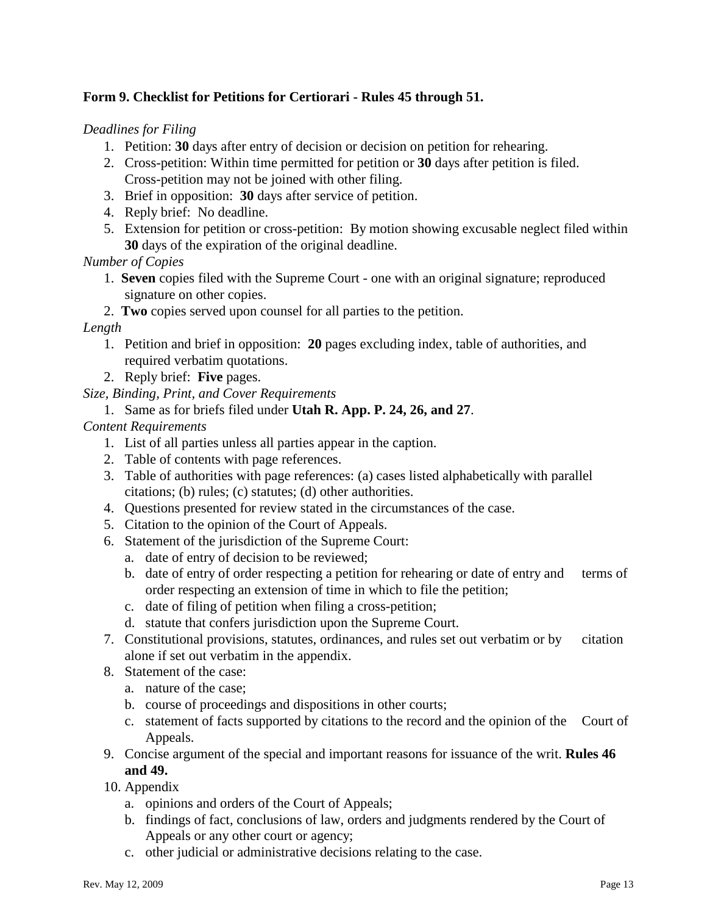## **Form 9. Checklist for Petitions for Certiorari - Rules 45 through 51.**

*Deadlines for Filing* 

- 1. Petition: **30** days after entry of decision or decision on petition for rehearing.
- 2. Cross-petition: Within time permitted for petition or **30** days after petition is filed. Cross-petition may not be joined with other filing.
- 3. Brief in opposition: **30** days after service of petition.
- 4. Reply brief: No deadline.
- 5. Extension for petition or cross-petition: By motion showing excusable neglect filed within **30** days of the expiration of the original deadline.

*Number of Copies*

- 1. **Seven** copies filed with the Supreme Court one with an original signature; reproduced signature on other copies.
- 2. **Two** copies served upon counsel for all parties to the petition.

## *Length*

- 1. Petition and brief in opposition: **20** pages excluding index, table of authorities, and required verbatim quotations.
- 2. Reply brief: **Five** pages.

# *Size, Binding, Print, and Cover Requirements*

1. Same as for briefs filed under **Utah R. App. P. 24, 26, and 27**.

# *Content Requirements*

- 1. List of all parties unless all parties appear in the caption.
- 2. Table of contents with page references.
- 3. Table of authorities with page references: (a) cases listed alphabetically with parallel citations; (b) rules; (c) statutes; (d) other authorities.
- 4. Questions presented for review stated in the circumstances of the case.
- 5. Citation to the opinion of the Court of Appeals.
- 6. Statement of the jurisdiction of the Supreme Court:
	- a. date of entry of decision to be reviewed;
	- b. date of entry of order respecting a petition for rehearing or date of entry and terms of order respecting an extension of time in which to file the petition;
	- c. date of filing of petition when filing a cross-petition;
	- d. statute that confers jurisdiction upon the Supreme Court.
- 7. Constitutional provisions, statutes, ordinances, and rules set out verbatim or by citation alone if set out verbatim in the appendix.
- 8. Statement of the case:
	- a. nature of the case;
	- b. course of proceedings and dispositions in other courts;
	- c. statement of facts supported by citations to the record and the opinion of the Court of Appeals.
- 9. Concise argument of the special and important reasons for issuance of the writ. **Rules 46 and 49.**
- 10. Appendix
	- a. opinions and orders of the Court of Appeals;
	- b. findings of fact, conclusions of law, orders and judgments rendered by the Court of Appeals or any other court or agency;
	- c. other judicial or administrative decisions relating to the case.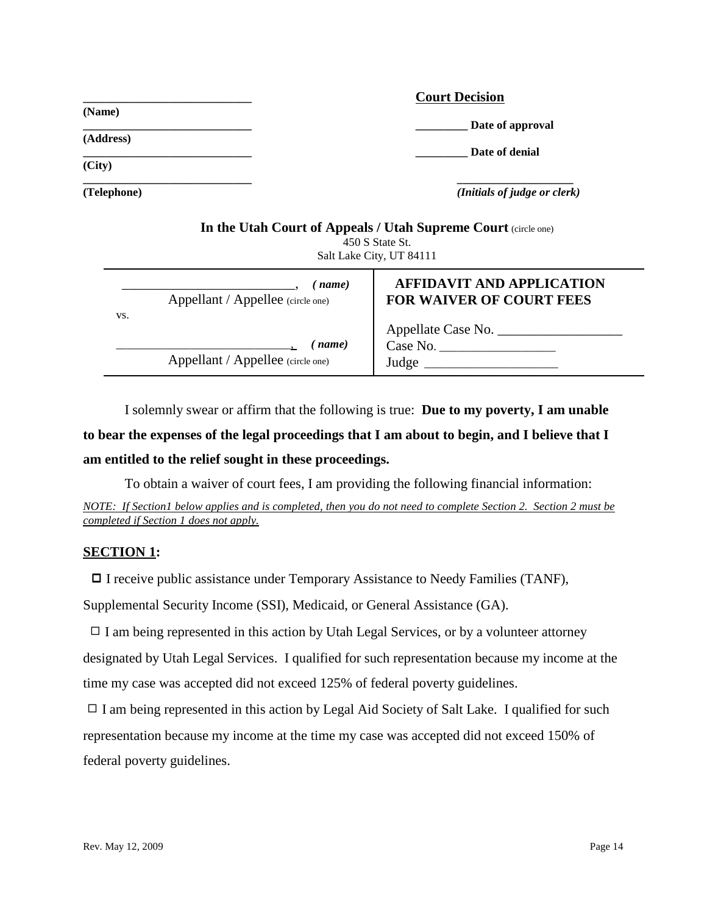|             | <b>Court Decision</b>                                        |
|-------------|--------------------------------------------------------------|
| (Name)      | Date of approval                                             |
| (Address)   |                                                              |
| (City)      | Date of denial                                               |
| (Telephone) | (Initials of judge or clerk)                                 |
|             | In the Utah Court of Anneals / Utah Supreme Court (sinks and |

|     | In the Utan Court of Teppears / Utan Dupleme Court (Chefe one)<br>450 S State St.<br>Salt Lake City, UT 84111 |                                                                     |  |  |
|-----|---------------------------------------------------------------------------------------------------------------|---------------------------------------------------------------------|--|--|
| VS. | name)<br>Appellant / Appellee (circle one)                                                                    | <b>AFFIDAVIT AND APPLICATION</b><br><b>FOR WAIVER OF COURT FEES</b> |  |  |
|     | name)<br>Appellant / Appellee (circle one)                                                                    | Appellate Case No.<br>Case No.<br>Judge                             |  |  |

I solemnly swear or affirm that the following is true: **Due to my poverty, I am unable**

# **to bear the expenses of the legal proceedings that I am about to begin, and I believe that I am entitled to the relief sought in these proceedings.**

To obtain a waiver of court fees, I am providing the following financial information:

*NOTE: If Section1 below applies and is completed, then you do not need to complete Section 2. Section 2 must be completed if Section 1 does not apply.*

#### **SECTION 1:**

□ I receive public assistance under Temporary Assistance to Needy Families (TANF),

Supplemental Security Income (SSI), Medicaid, or General Assistance (GA).

 $\Box$  I am being represented in this action by Utah Legal Services, or by a volunteer attorney designated by Utah Legal Services. I qualified for such representation because my income at the time my case was accepted did not exceed 125% of federal poverty guidelines.

 $\Box$  I am being represented in this action by Legal Aid Society of Salt Lake. I qualified for such representation because my income at the time my case was accepted did not exceed 150% of federal poverty guidelines.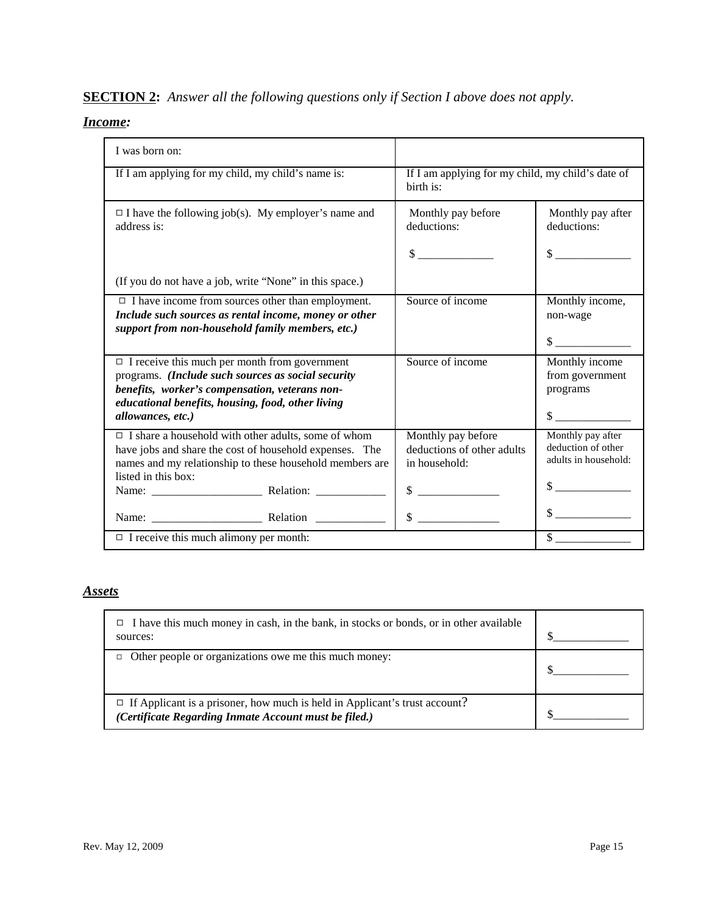# **SECTION 2:** *Answer all the following questions only if Section I above does not apply.*

## *Income:*

| I was born on:                                                                                                                                                                                                                         |                                                                                                                                          |                                                                           |  |
|----------------------------------------------------------------------------------------------------------------------------------------------------------------------------------------------------------------------------------------|------------------------------------------------------------------------------------------------------------------------------------------|---------------------------------------------------------------------------|--|
| If I am applying for my child, my child's name is:                                                                                                                                                                                     | If I am applying for my child, my child's date of<br>birth is:                                                                           |                                                                           |  |
| $\Box$ I have the following job(s). My employer's name and<br>address is:                                                                                                                                                              | Monthly pay before<br>deductions:                                                                                                        | Monthly pay after<br>deductions:                                          |  |
|                                                                                                                                                                                                                                        | $\mathbb{S}$                                                                                                                             | $\frac{1}{2}$                                                             |  |
| (If you do not have a job, write "None" in this space.)                                                                                                                                                                                |                                                                                                                                          |                                                                           |  |
| $\Box$ I have income from sources other than employment.<br>Include such sources as rental income, money or other<br>support from non-household family members, etc.)                                                                  | Source of income                                                                                                                         | Monthly income,<br>non-wage<br>$\sim$                                     |  |
| $\Box$ I receive this much per month from government<br>programs. (Include such sources as social security<br>benefits, worker's compensation, veterans non-<br>educational benefits, housing, food, other living<br>allowances, etc.) | Source of income                                                                                                                         | Monthly income<br>from government<br>programs<br>$\sim$                   |  |
| $\Box$ I share a household with other adults, some of whom<br>have jobs and share the cost of household expenses. The<br>names and my relationship to these household members are<br>listed in this box:                               | Monthly pay before<br>deductions of other adults<br>in household:<br>\$<br><u> 1980 - Jan Samuel Barbara, político e provincia e a f</u> | Monthly pay after<br>deduction of other<br>adults in household:<br>$\sim$ |  |
| Name: Relation                                                                                                                                                                                                                         | $\mathbb{S}$                                                                                                                             | $\frac{\text{S}}{\text{S}}$                                               |  |
| $\Box$ I receive this much alimony per month:                                                                                                                                                                                          |                                                                                                                                          |                                                                           |  |

## *Assets*

| I have this much money in cash, in the bank, in stocks or bonds, or in other available<br>□<br>sources:                                    |  |
|--------------------------------------------------------------------------------------------------------------------------------------------|--|
| Other people or organizations owe me this much money:                                                                                      |  |
| $\Box$ If Applicant is a prisoner, how much is held in Applicant's trust account?<br>(Certificate Regarding Inmate Account must be filed.) |  |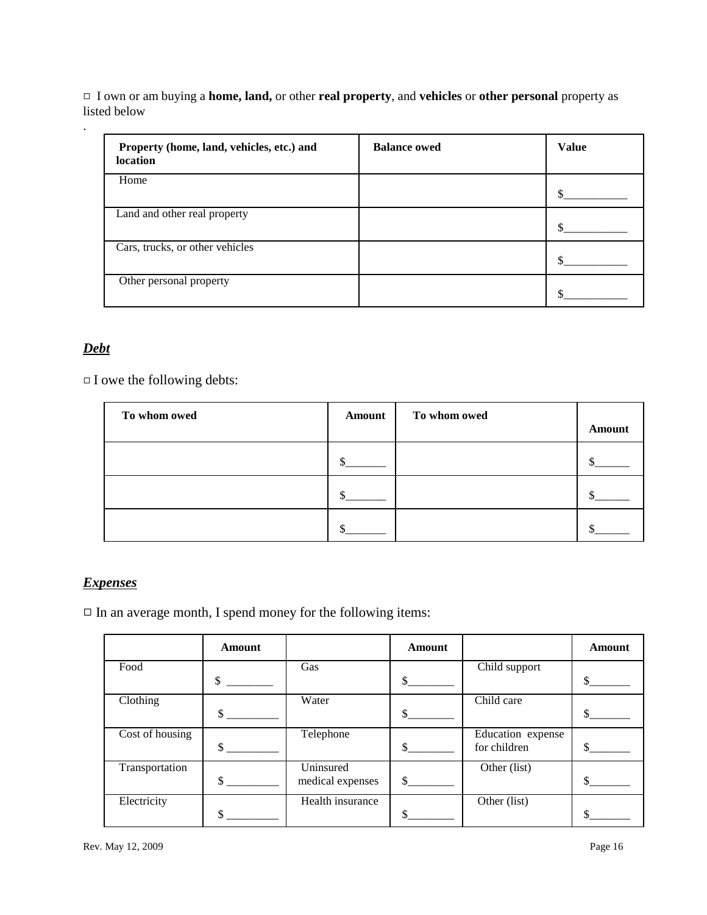9 I own or am buying a **home, land,** or other **real property**, and **vehicles** or **other personal** property as listed below

| Property (home, land, vehicles, etc.) and<br><b>location</b> | <b>Balance owed</b> | <b>Value</b> |
|--------------------------------------------------------------|---------------------|--------------|
| Home                                                         |                     |              |
| Land and other real property                                 |                     |              |
| Cars, trucks, or other vehicles                              |                     |              |
| Other personal property                                      |                     |              |

## *Debt*

.

 $\Box$  I owe the following debts:

| To whom owed | <b>Amount</b> | To whom owed | <b>Amount</b> |
|--------------|---------------|--------------|---------------|
|              |               |              |               |
|              |               |              |               |
|              |               |              |               |

## *Expenses*

 $\Box$  In an average month, I spend money for the following items:

|                 | <b>Amount</b> |                  | <b>Amount</b> |                   | Amount |
|-----------------|---------------|------------------|---------------|-------------------|--------|
| Food            |               | Gas              |               | Child support     |        |
|                 | \$            |                  |               |                   | \$     |
| Clothing        |               | Water            |               | Child care        |        |
|                 |               |                  |               |                   |        |
| Cost of housing |               | Telephone        |               | Education expense |        |
|                 |               |                  |               | for children      |        |
| Transportation  |               | Uninsured        |               | Other (list)      |        |
|                 | \$            | medical expenses | $\mathbb{S}$  |                   |        |
| Electricity     |               | Health insurance |               | Other (list)      |        |
|                 |               |                  |               |                   |        |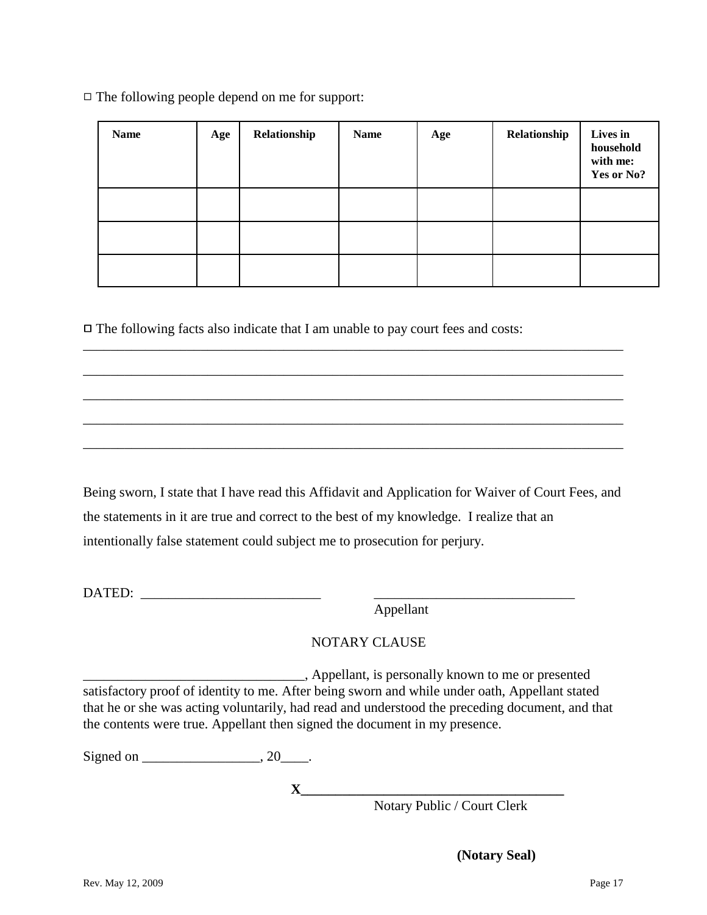| <b>Name</b> | Age | Relationship | <b>Name</b> | Age | Relationship | Lives in<br>household<br>with me:<br>Yes or No? |
|-------------|-----|--------------|-------------|-----|--------------|-------------------------------------------------|
|             |     |              |             |     |              |                                                 |
|             |     |              |             |     |              |                                                 |
|             |     |              |             |     |              |                                                 |

 $\Box$  The following facts also indicate that I am unable to pay court fees and costs:

Being sworn, I state that I have read this Affidavit and Application for Waiver of Court Fees, and the statements in it are true and correct to the best of my knowledge. I realize that an intentionally false statement could subject me to prosecution for perjury.

\_\_\_\_\_\_\_\_\_\_\_\_\_\_\_\_\_\_\_\_\_\_\_\_\_\_\_\_\_\_\_\_\_\_\_\_\_\_\_\_\_\_\_\_\_\_\_\_\_\_\_\_\_\_\_\_\_\_\_\_\_\_\_\_\_\_\_\_\_\_\_\_\_\_\_\_\_\_

\_\_\_\_\_\_\_\_\_\_\_\_\_\_\_\_\_\_\_\_\_\_\_\_\_\_\_\_\_\_\_\_\_\_\_\_\_\_\_\_\_\_\_\_\_\_\_\_\_\_\_\_\_\_\_\_\_\_\_\_\_\_\_\_\_\_\_\_\_\_\_\_\_\_\_\_\_\_

\_\_\_\_\_\_\_\_\_\_\_\_\_\_\_\_\_\_\_\_\_\_\_\_\_\_\_\_\_\_\_\_\_\_\_\_\_\_\_\_\_\_\_\_\_\_\_\_\_\_\_\_\_\_\_\_\_\_\_\_\_\_\_\_\_\_\_\_\_\_\_\_\_\_\_\_\_\_

\_\_\_\_\_\_\_\_\_\_\_\_\_\_\_\_\_\_\_\_\_\_\_\_\_\_\_\_\_\_\_\_\_\_\_\_\_\_\_\_\_\_\_\_\_\_\_\_\_\_\_\_\_\_\_\_\_\_\_\_\_\_\_\_\_\_\_\_\_\_\_\_\_\_\_\_\_\_

\_\_\_\_\_\_\_\_\_\_\_\_\_\_\_\_\_\_\_\_\_\_\_\_\_\_\_\_\_\_\_\_\_\_\_\_\_\_\_\_\_\_\_\_\_\_\_\_\_\_\_\_\_\_\_\_\_\_\_\_\_\_\_\_\_\_\_\_\_\_\_\_\_\_\_\_\_\_

DATED: \_\_\_\_\_\_\_\_\_\_\_\_\_\_\_\_\_\_\_\_\_\_\_\_\_\_ \_\_\_\_\_\_\_\_\_\_\_\_\_\_\_\_\_\_\_\_\_\_\_\_\_\_\_\_\_

Appellant

# NOTARY CLAUSE

\_\_\_\_\_\_\_\_\_\_\_\_\_\_\_\_\_\_\_\_\_\_\_\_\_\_\_\_\_\_\_\_, Appellant, is personally known to me or presented satisfactory proof of identity to me. After being sworn and while under oath, Appellant stated that he or she was acting voluntarily, had read and understood the preceding document, and that the contents were true. Appellant then signed the document in my presence.

Signed on  $\_\_\_\_\_\_$ , 20 $\_\_\_\_\_\$ .

**X\_\_\_\_\_\_\_\_\_\_\_\_\_\_\_\_\_\_\_\_\_\_\_\_\_\_\_\_\_\_\_\_\_\_\_\_\_\_**

Notary Public / Court Clerk

**(Notary Seal)**